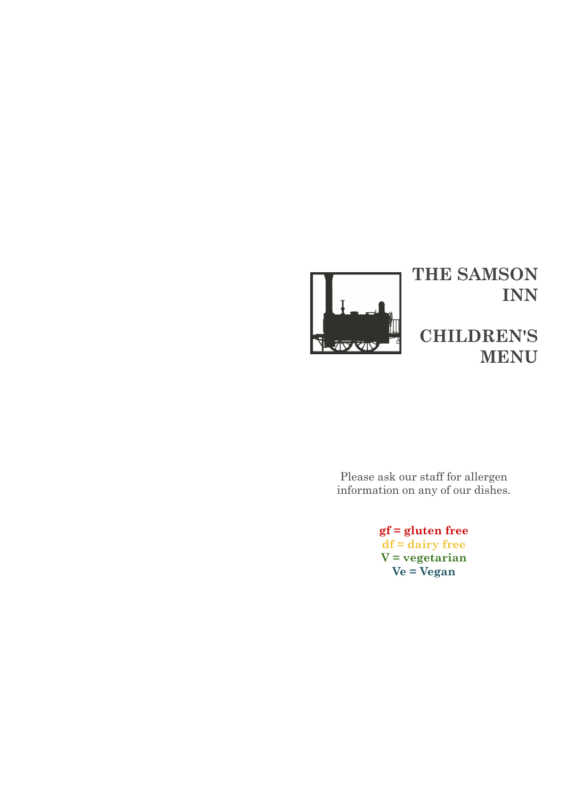

Please ask our staff for allergen information on any of our dishes.

> **gf = gluten free df = dairy free V = vegetarian Ve = Vegan**